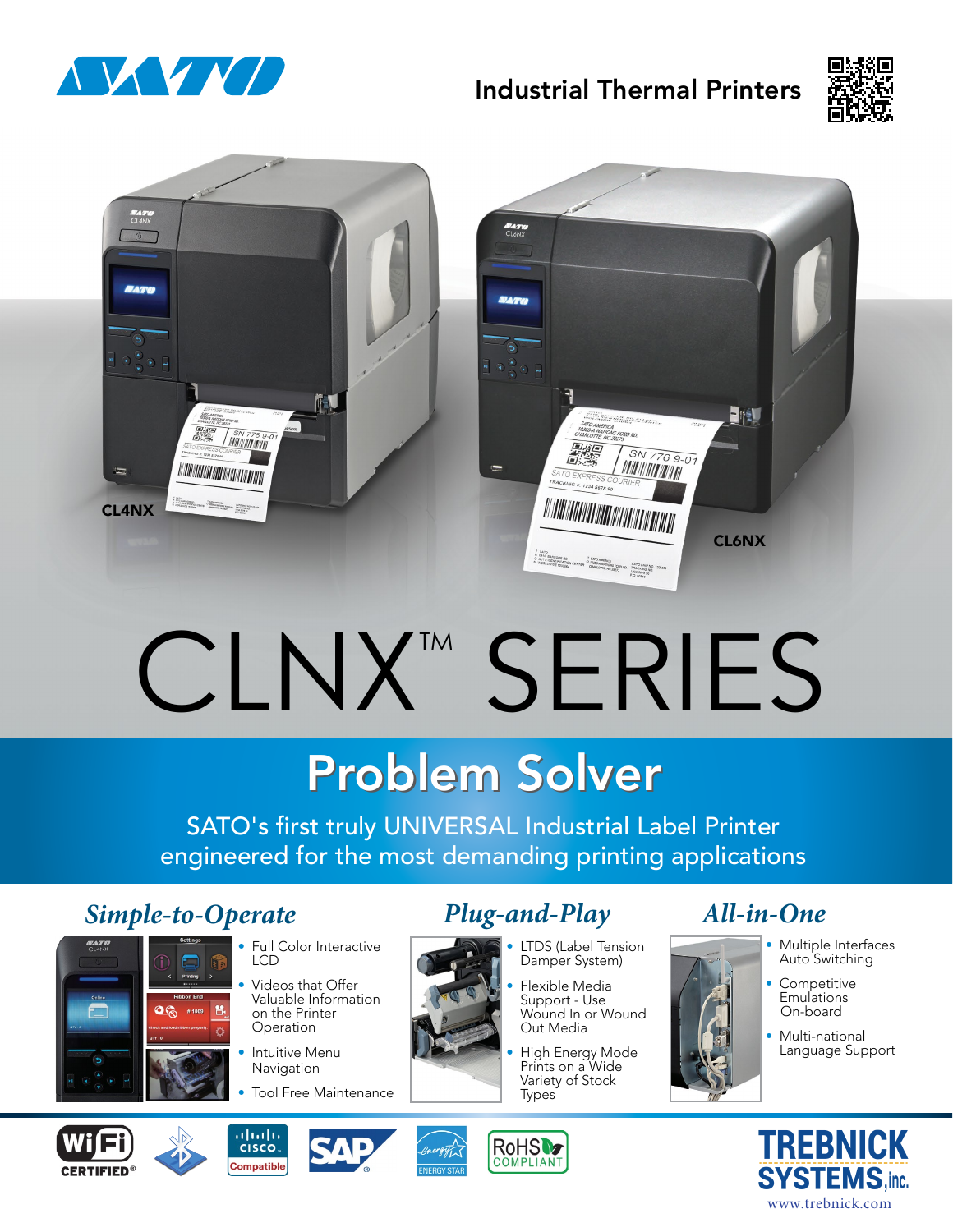

# Industrial Thermal Printers





# CLNX™ SERIES

# **Problem Solver**

SATO's first truly UNIVERSAL Industrial Label Printer engineered for the most demanding printing applications

# *Simple-to-Operate Plug-and-Play All-in-One*



#### • Full Color Interactive LCD

- Videos that Offer Valuable Information on the Printer Operation
- **Intuitive Menu** Navigation
- Tool Free Maintenance

- LTDS (Label Tension Damper System)
- Flexible Media Support - Use Wound In or Wound Out Media
- High Energy Mode Prints on a Wide Variety of Stock **Types**

- Multiple Interfaces Auto Switching
- **Competitive Emulations** On-board
- Multi-national Language Support